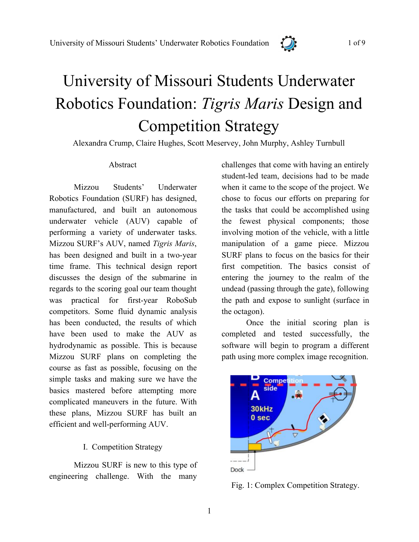

# University of Missouri Students Underwater Robotics Foundation: *Tigris Maris* Design and Competition Strategy

Alexandra Crump, Claire Hughes, Scott Meservey, John Murphy, Ashley Turnbull

#### Abstract

Mizzou Students' Underwater Robotics Foundation (SURF) has designed, manufactured, and built an autonomous underwater vehicle (AUV) capable of performing a variety of underwater tasks. Mizzou SURF's AUV, named *Tigris Maris*, has been designed and built in a two-year time frame. This technical design report discusses the design of the submarine in regards to the scoring goal our team thought was practical for first-year RoboSub competitors. Some fluid dynamic analysis has been conducted, the results of which have been used to make the AUV as hydrodynamic as possible. This is because Mizzou SURF plans on completing the course as fast as possible, focusing on the simple tasks and making sure we have the basics mastered before attempting more complicated maneuvers in the future. With these plans, Mizzou SURF has built an efficient and well-performing AUV.

#### I.Competition Strategy

Mizzou SURF is new to this type of engineering challenge. With the many

challenges that come with having an entirely student-led team, decisions had to be made when it came to the scope of the project. We chose to focus our efforts on preparing for the tasks that could be accomplished using the fewest physical components; those involving motion of the vehicle, with a little manipulation of a game piece. Mizzou SURF plans to focus on the basics for their first competition. The basics consist of entering the journey to the realm of the undead (passing through the gate), following the path and expose to sunlight (surface in the octagon).

Once the initial scoring plan is completed and tested successfully, the software will begin to program a different path using more complex image recognition.



Fig. 1: Complex Competition Strategy.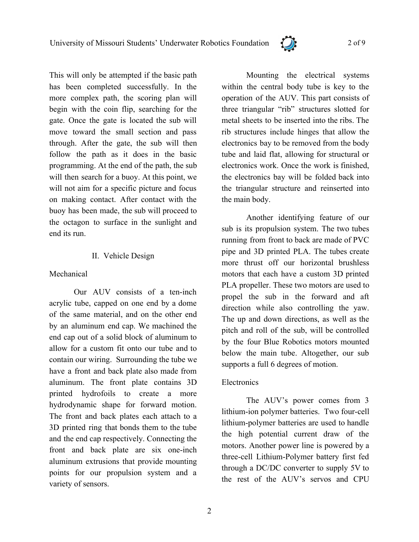

This will only be attempted if the basic path has been completed successfully. In the more complex path, the scoring plan will begin with the coin flip, searching for the gate. Once the gate is located the sub will move toward the small section and pass through. After the gate, the sub will then follow the path as it does in the basic programming. At the end of the path, the sub will then search for a buoy. At this point, we will not aim for a specific picture and focus on making contact. After contact with the buoy has been made, the sub will proceed to the octagon to surface in the sunlight and end its run.

# II.Vehicle Design

# Mechanical

Our AUV consists of a ten-inch acrylic tube, capped on one end by a dome of the same material, and on the other end by an aluminum end cap. We machined the end cap out of a solid block of aluminum to allow for a custom fit onto our tube and to contain our wiring. Surrounding the tube we have a front and back plate also made from aluminum. The front plate contains 3D printed hydrofoils to create a more hydrodynamic shape for forward motion. The front and back plates each attach to a 3D printed ring that bonds them to the tube and the end cap respectively. Connecting the front and back plate are six one-inch aluminum extrusions that provide mounting points for our propulsion system and a variety of sensors.

Mounting the electrical systems within the central body tube is key to the operation of the AUV. This part consists of three triangular "rib" structures slotted for metal sheets to be inserted into the ribs. The rib structures include hinges that allow the electronics bay to be removed from the body tube and laid flat, allowing for structural or electronics work. Once the work is finished, the electronics bay will be folded back into the triangular structure and reinserted into the main body.

Another identifying feature of our sub is its propulsion system. The two tubes running from front to back are made of PVC pipe and 3D printed PLA. The tubes create more thrust off our horizontal brushless motors that each have a custom 3D printed PLA propeller. These two motors are used to propel the sub in the forward and aft direction while also controlling the yaw. The up and down directions, as well as the pitch and roll of the sub, will be controlled by the four Blue Robotics motors mounted below the main tube. Altogether, our sub supports a full 6 degrees of motion.

# **Electronics**

The AUV's power comes from 3 lithium-ion polymer batteries. Two four-cell lithium-polymer batteries are used to handle the high potential current draw of the motors. Another power line is powered by a three-cell Lithium-Polymer battery first fed through a DC/DC converter to supply 5V to the rest of the AUV's servos and CPU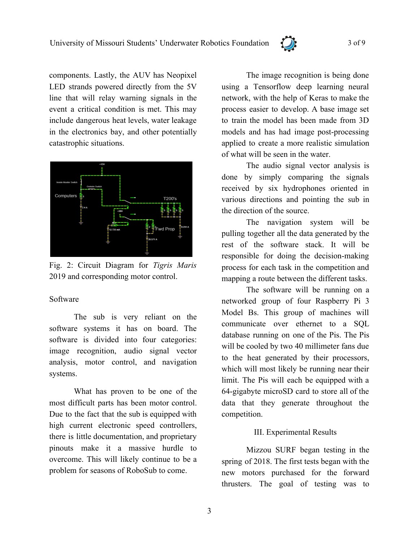

components. Lastly, the AUV has Neopixel LED strands powered directly from the 5V line that will relay warning signals in the event a critical condition is met. This may include dangerous heat levels, water leakage in the electronics bay, and other potentially catastrophic situations.



Fig. 2: Circuit Diagram for *Tigris Maris* 2019 and corresponding motor control.

# Software

The sub is very reliant on the software systems it has on board. The software is divided into four categories: image recognition, audio signal vector analysis, motor control, and navigation systems.

What has proven to be one of the most difficult parts has been motor control. Due to the fact that the sub is equipped with high current electronic speed controllers, there is little documentation, and proprietary pinouts make it a massive hurdle to overcome. This will likely continue to be a problem for seasons of RoboSub to come.

The image recognition is being done using a Tensorflow deep learning neural network, with the help of Keras to make the process easier to develop. A base image set to train the model has been made from 3D models and has had image post-processing applied to create a more realistic simulation of what will be seen in the water.

The audio signal vector analysis is done by simply comparing the signals received by six hydrophones oriented in various directions and pointing the sub in the direction of the source.

The navigation system will be pulling together all the data generated by the rest of the software stack. It will be responsible for doing the decision-making process for each task in the competition and mapping a route between the different tasks.

The software will be running on a networked group of four Raspberry Pi 3 Model Bs. This group of machines will communicate over ethernet to a SQL database running on one of the Pis. The Pis will be cooled by two 40 millimeter fans due to the heat generated by their processors, which will most likely be running near their limit. The Pis will each be equipped with a 64-gigabyte microSD card to store all of the data that they generate throughout the competition.

# III. Experimental Results

Mizzou SURF began testing in the spring of 2018. The first tests began with the new motors purchased for the forward thrusters. The goal of testing was to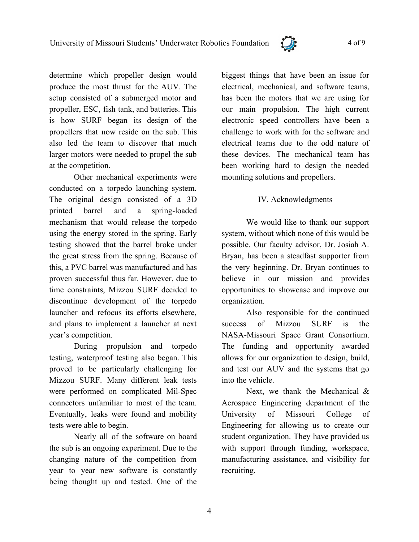

determine which propeller design would produce the most thrust for the AUV. The setup consisted of a submerged motor and propeller, ESC, fish tank, and batteries. This is how SURF began its design of the propellers that now reside on the sub. This also led the team to discover that much larger motors were needed to propel the sub at the competition.

Other mechanical experiments were conducted on a torpedo launching system. The original design consisted of a 3D printed barrel and a spring-loaded mechanism that would release the torpedo using the energy stored in the spring. Early testing showed that the barrel broke under the great stress from the spring. Because of this, a PVC barrel was manufactured and has proven successful thus far. However, due to time constraints, Mizzou SURF decided to discontinue development of the torpedo launcher and refocus its efforts elsewhere, and plans to implement a launcher at next year's competition.

During propulsion and torpedo testing, waterproof testing also began. This proved to be particularly challenging for Mizzou SURF. Many different leak tests were performed on complicated Mil-Spec connectors unfamiliar to most of the team. Eventually, leaks were found and mobility tests were able to begin.

Nearly all of the software on board the sub is an ongoing experiment. Due to the changing nature of the competition from year to year new software is constantly being thought up and tested. One of the

biggest things that have been an issue for electrical, mechanical, and software teams, has been the motors that we are using for our main propulsion. The high current electronic speed controllers have been a challenge to work with for the software and electrical teams due to the odd nature of these devices. The mechanical team has been working hard to design the needed mounting solutions and propellers.

# IV. Acknowledgments

We would like to thank our support system, without which none of this would be possible. Our faculty advisor, Dr. Josiah A. Bryan, has been a steadfast supporter from the very beginning. Dr. Bryan continues to believe in our mission and provides opportunities to showcase and improve our organization.

Also responsible for the continued success of Mizzou SURF is the NASA-Missouri Space Grant Consortium. The funding and opportunity awarded allows for our organization to design, build, and test our AUV and the systems that go into the vehicle.

Next, we thank the Mechanical & Aerospace Engineering department of the University of Missouri College of Engineering for allowing us to create our student organization. They have provided us with support through funding, workspace, manufacturing assistance, and visibility for recruiting.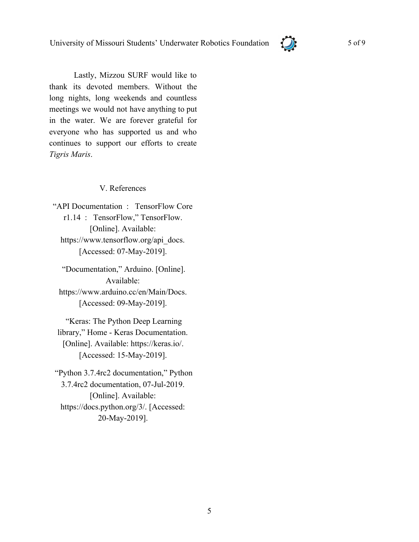

Lastly, Mizzou SURF would like to thank its devoted members. Without the long nights, long weekends and countless meetings we would not have anything to put in the water. We are forever grateful for everyone who has supported us and who continues to support our efforts to create *Tigris Maris*.

# V. References

"API Documentation : TensorFlow Core r1.14 : TensorFlow," TensorFlow. [Online]. Available: https://www.tensorflow.org/api\_docs. [Accessed: 07-May-2019].

 "Documentation," Arduino. [Online]. Available: https://www.arduino.cc/en/Main/Docs. [Accessed: 09-May-2019].

 "Keras: The Python Deep Learning library," Home - Keras Documentation. [Online]. Available: https://keras.io/. [Accessed: 15-May-2019].

 "Python 3.7.4rc2 documentation," Python 3.7.4rc2 documentation, 07-Jul-2019. [Online]. Available: https://docs.python.org/3/. [Accessed: 20-May-2019].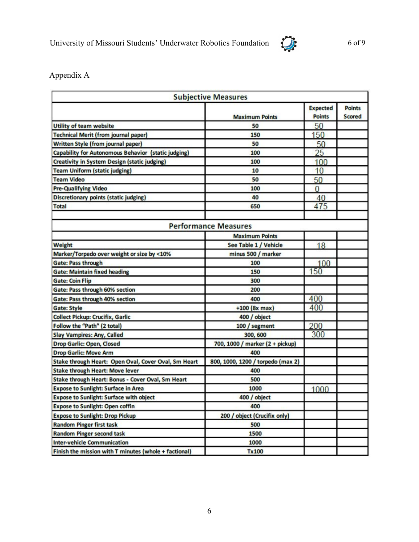

Appendix A

| <b>Subjective Measures</b>                            |                                   |                                  |                                |  |  |
|-------------------------------------------------------|-----------------------------------|----------------------------------|--------------------------------|--|--|
|                                                       | <b>Maximum Points</b>             | <b>Expected</b><br><b>Points</b> | <b>Points</b><br><b>Scored</b> |  |  |
| <b>Utility of team website</b>                        | 50                                | 50                               |                                |  |  |
| <b>Technical Merit (from journal paper)</b>           | 150                               | 150                              |                                |  |  |
| Written Style (from journal paper)                    | 50                                | 50                               |                                |  |  |
| Capability for Autonomous Behavior (static judging)   | 100                               | 25                               |                                |  |  |
| Creativity in System Design (static judging)          | 100                               | 100                              |                                |  |  |
| <b>Team Uniform (static judging)</b>                  | 10                                | 10                               |                                |  |  |
| <b>Team Video</b>                                     | 50                                | 50                               |                                |  |  |
| <b>Pre-Qualifying Video</b>                           | 100                               | $\overline{0}$                   |                                |  |  |
| <b>Discretionary points (static judging)</b>          | 40                                | 40                               |                                |  |  |
| <b>Total</b>                                          | 650                               | 475                              |                                |  |  |
| <b>Performance Measures</b>                           |                                   |                                  |                                |  |  |
|                                                       | <b>Maximum Points</b>             |                                  |                                |  |  |
| <b>Weight</b>                                         | See Table 1 / Vehicle             | 18                               |                                |  |  |
| Marker/Torpedo over weight or size by <10%            | minus 500 / marker                |                                  |                                |  |  |
| <b>Gate: Pass through</b>                             | 100                               | 100                              |                                |  |  |
| <b>Gate: Maintain fixed heading</b>                   | 150                               | 150                              |                                |  |  |
| <b>Gate: Coin Flip</b>                                | 300                               |                                  |                                |  |  |
| Gate: Pass through 60% section                        | 200                               |                                  |                                |  |  |
| <b>Gate: Pass through 40% section</b>                 | 400                               | 400                              |                                |  |  |
| <b>Gate: Style</b>                                    | +100 (8x max)                     | 400                              |                                |  |  |
| <b>Collect Pickup: Crucifix, Garlic</b>               | 400 / object                      |                                  |                                |  |  |
| Follow the "Path" (2 total)                           | 100 / segment                     | 200                              |                                |  |  |
| <b>Slay Vampires: Any, Called</b>                     | 300, 600                          | 300                              |                                |  |  |
| <b>Drop Garlic: Open, Closed</b>                      | 700, 1000 / marker (2 + pickup)   |                                  |                                |  |  |
| <b>Drop Garlic: Move Arm</b>                          | 400                               |                                  |                                |  |  |
| Stake through Heart: Open Oval, Cover Oval, Sm Heart  | 800, 1000, 1200 / torpedo (max 2) |                                  |                                |  |  |
| <b>Stake through Heart: Move lever</b>                | 400                               |                                  |                                |  |  |
| Stake through Heart: Bonus - Cover Oval, Sm Heart     | 500                               |                                  |                                |  |  |
| <b>Expose to Sunlight: Surface in Area</b>            | 1000                              | 1000                             |                                |  |  |
| <b>Expose to Sunlight: Surface with object</b>        | 400 / object                      |                                  |                                |  |  |
| <b>Expose to Sunlight: Open coffin</b>                | 400                               |                                  |                                |  |  |
| <b>Expose to Sunlight: Drop Pickup</b>                | 200 / object (Crucifix only)      |                                  |                                |  |  |
| <b>Random Pinger first task</b>                       | 500                               |                                  |                                |  |  |
| <b>Random Pinger second task</b>                      | 1500                              |                                  |                                |  |  |
| <b>Inter-vehicle Communication</b>                    | 1000                              |                                  |                                |  |  |
| Finish the mission with T minutes (whole + factional) | <b>Tx100</b>                      |                                  |                                |  |  |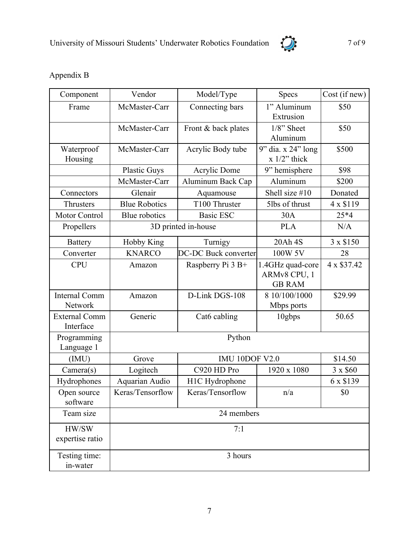

# Appendix B

| Component            | Vendor               | Model/Type            | Specs              | Cost (if new) |  |
|----------------------|----------------------|-----------------------|--------------------|---------------|--|
| Frame                | McMaster-Carr        | Connecting bars       | 1" Aluminum        | \$50          |  |
|                      |                      |                       | Extrusion          |               |  |
|                      | McMaster-Carr        | Front & back plates   | $1/8$ " Sheet      | \$50          |  |
|                      |                      |                       | Aluminum           |               |  |
| Waterproof           | McMaster-Carr        | Acrylic Body tube     | 9" dia. x 24" long | \$500         |  |
| Housing              |                      |                       | $x$ 1/2" thick     |               |  |
|                      | <b>Plastic Guys</b>  | Acrylic Dome          | 9" hemisphere      | \$98          |  |
|                      | McMaster-Carr        | Aluminum Back Cap     | Aluminum           | \$200         |  |
| Connectors           | Glenair              | Aquamouse             | Shell size #10     | Donated       |  |
| Thrusters            | <b>Blue Robotics</b> | T100 Thruster         | 5lbs of thrust     | 4 x \$119     |  |
| Motor Control        | Blue robotics        | <b>Basic ESC</b>      | 30A                | $25*4$        |  |
| Propellers           | 3D printed in-house  |                       | <b>PLA</b>         | N/A           |  |
| <b>Battery</b>       | <b>Hobby King</b>    | Turnigy               | 20Ah 4S            | 3 x \$150     |  |
| Converter            | <b>KNARCO</b>        | DC-DC Buck converter  | 100W 5V            | 28            |  |
| <b>CPU</b>           | Amazon               | Raspberry Pi 3 B+     | 1.4GHz quad-core   | 4 x \$37.42   |  |
|                      |                      |                       | ARMv8 CPU, 1       |               |  |
|                      |                      |                       | <b>GB RAM</b>      |               |  |
| <b>Internal Comm</b> | Amazon               | D-Link DGS-108        | 8 10/100/1000      | \$29.99       |  |
| Network              |                      |                       | Mbps ports         |               |  |
| <b>External Comm</b> | Generic              | Cat6 cabling          | 10gbps             | 50.65         |  |
| Interface            |                      |                       |                    |               |  |
| Programming          | Python               |                       |                    |               |  |
| Language 1           |                      |                       |                    |               |  |
| (IMU)                | Grove                | <b>IMU 10DOF V2.0</b> |                    | \$14.50       |  |
| Camera(s)            | Logitech             | C920 HD Pro           | 1920 x 1080        | 3 x \$60      |  |
| Hydrophones          | Aquarian Audio       | H1C Hydrophone        |                    | 6 x \$139     |  |
| Open source          | Keras/Tensorflow     | Keras/Tensorflow      | n/a                | \$0           |  |
| software             |                      |                       |                    |               |  |
| Team size            | 24 members           |                       |                    |               |  |
| HW/SW                | 7:1                  |                       |                    |               |  |
| expertise ratio      |                      |                       |                    |               |  |
| Testing time:        | 3 hours              |                       |                    |               |  |
| in-water             |                      |                       |                    |               |  |